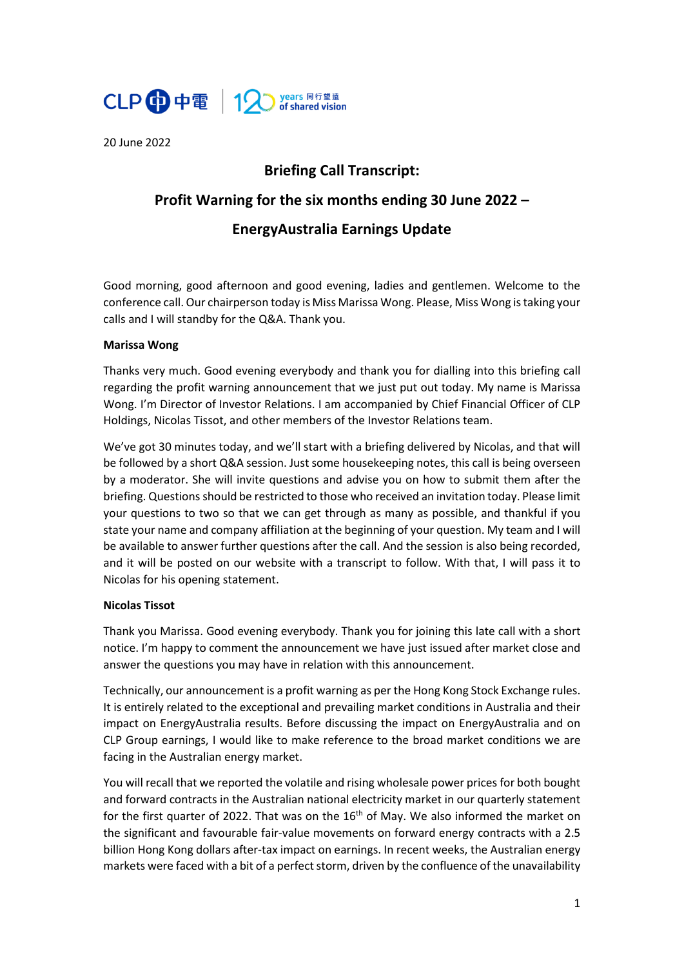

20 June 2022

# **Briefing Call Transcript:**

# **Profit Warning for the six months ending 30 June 2022 –**

## **EnergyAustralia Earnings Update**

Good morning, good afternoon and good evening, ladies and gentlemen. Welcome to the conference call. Our chairperson today is Miss Marissa Wong. Please, Miss Wong is taking your calls and I will standby for the Q&A. Thank you.

#### **Marissa Wong**

Thanks very much. Good evening everybody and thank you for dialling into this briefing call regarding the profit warning announcement that we just put out today. My name is Marissa Wong. I'm Director of Investor Relations. I am accompanied by Chief Financial Officer of CLP Holdings, Nicolas Tissot, and other members of the Investor Relations team.

We've got 30 minutes today, and we'll start with a briefing delivered by Nicolas, and that will be followed by a short Q&A session. Just some housekeeping notes, this call is being overseen by a moderator. She will invite questions and advise you on how to submit them after the briefing. Questions should be restricted to those who received an invitation today. Please limit your questions to two so that we can get through as many as possible, and thankful if you state your name and company affiliation at the beginning of your question. My team and I will be available to answer further questions after the call. And the session is also being recorded, and it will be posted on our website with a transcript to follow. With that, I will pass it to Nicolas for his opening statement.

#### **Nicolas Tissot**

Thank you Marissa. Good evening everybody. Thank you for joining this late call with a short notice. I'm happy to comment the announcement we have just issued after market close and answer the questions you may have in relation with this announcement.

Technically, our announcement is a profit warning as per the Hong Kong Stock Exchange rules. It is entirely related to the exceptional and prevailing market conditions in Australia and their impact on EnergyAustralia results. Before discussing the impact on EnergyAustralia and on CLP Group earnings, I would like to make reference to the broad market conditions we are facing in the Australian energy market.

You will recall that we reported the volatile and rising wholesale power prices for both bought and forward contracts in the Australian national electricity market in our quarterly statement for the first quarter of 2022. That was on the  $16<sup>th</sup>$  of May. We also informed the market on the significant and favourable fair-value movements on forward energy contracts with a 2.5 billion Hong Kong dollars after-tax impact on earnings. In recent weeks, the Australian energy markets were faced with a bit of a perfect storm, driven by the confluence of the unavailability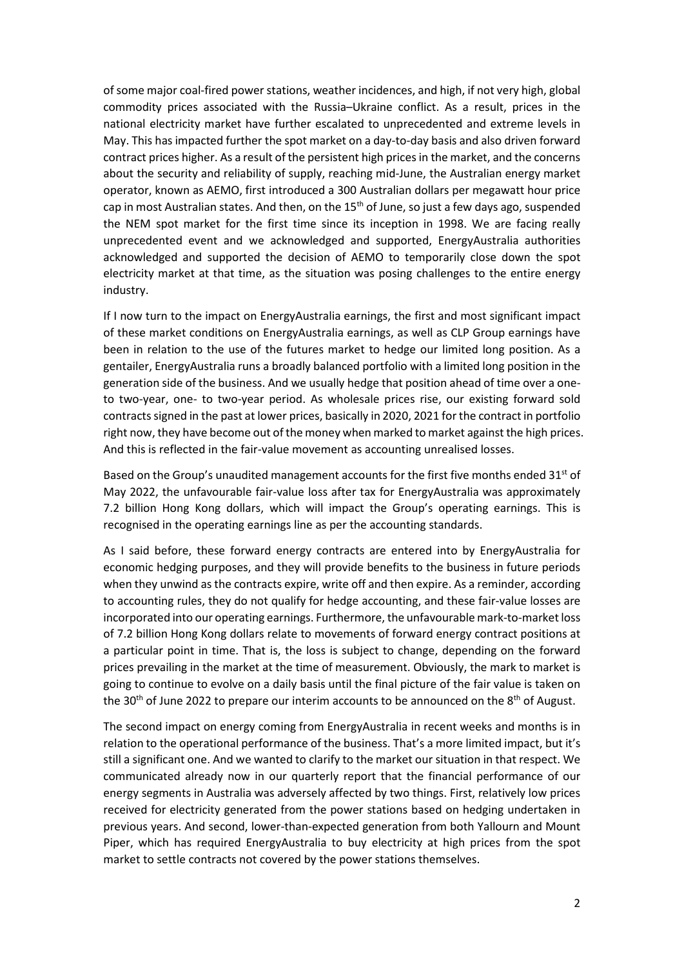of some major coal-fired power stations, weather incidences, and high, if not very high, global commodity prices associated with the Russia–Ukraine conflict. As a result, prices in the national electricity market have further escalated to unprecedented and extreme levels in May. This has impacted further the spot market on a day-to-day basis and also driven forward contract prices higher. As a result of the persistent high prices in the market, and the concerns about the security and reliability of supply, reaching mid-June, the Australian energy market operator, known as AEMO, first introduced a 300 Australian dollars per megawatt hour price cap in most Australian states. And then, on the 15<sup>th</sup> of June, so just a few days ago, suspended the NEM spot market for the first time since its inception in 1998. We are facing really unprecedented event and we acknowledged and supported, EnergyAustralia authorities acknowledged and supported the decision of AEMO to temporarily close down the spot electricity market at that time, as the situation was posing challenges to the entire energy industry.

If I now turn to the impact on EnergyAustralia earnings, the first and most significant impact of these market conditions on EnergyAustralia earnings, as well as CLP Group earnings have been in relation to the use of the futures market to hedge our limited long position. As a gentailer, EnergyAustralia runs a broadly balanced portfolio with a limited long position in the generation side of the business. And we usually hedge that position ahead of time over a oneto two-year, one- to two-year period. As wholesale prices rise, our existing forward sold contracts signed in the past at lower prices, basically in 2020, 2021 for the contract in portfolio right now, they have become out of the money when marked to market against the high prices. And this is reflected in the fair-value movement as accounting unrealised losses.

Based on the Group's unaudited management accounts for the first five months ended  $31<sup>st</sup>$  of May 2022, the unfavourable fair-value loss after tax for EnergyAustralia was approximately 7.2 billion Hong Kong dollars, which will impact the Group's operating earnings. This is recognised in the operating earnings line as per the accounting standards.

As I said before, these forward energy contracts are entered into by EnergyAustralia for economic hedging purposes, and they will provide benefits to the business in future periods when they unwind as the contracts expire, write off and then expire. As a reminder, according to accounting rules, they do not qualify for hedge accounting, and these fair-value losses are incorporated into our operating earnings. Furthermore, the unfavourable mark-to-market loss of 7.2 billion Hong Kong dollars relate to movements of forward energy contract positions at a particular point in time. That is, the loss is subject to change, depending on the forward prices prevailing in the market at the time of measurement. Obviously, the mark to market is going to continue to evolve on a daily basis until the final picture of the fair value is taken on the  $30<sup>th</sup>$  of June 2022 to prepare our interim accounts to be announced on the  $8<sup>th</sup>$  of August.

The second impact on energy coming from EnergyAustralia in recent weeks and months is in relation to the operational performance of the business. That's a more limited impact, but it's still a significant one. And we wanted to clarify to the market our situation in that respect. We communicated already now in our quarterly report that the financial performance of our energy segments in Australia was adversely affected by two things. First, relatively low prices received for electricity generated from the power stations based on hedging undertaken in previous years. And second, lower-than-expected generation from both Yallourn and Mount Piper, which has required EnergyAustralia to buy electricity at high prices from the spot market to settle contracts not covered by the power stations themselves.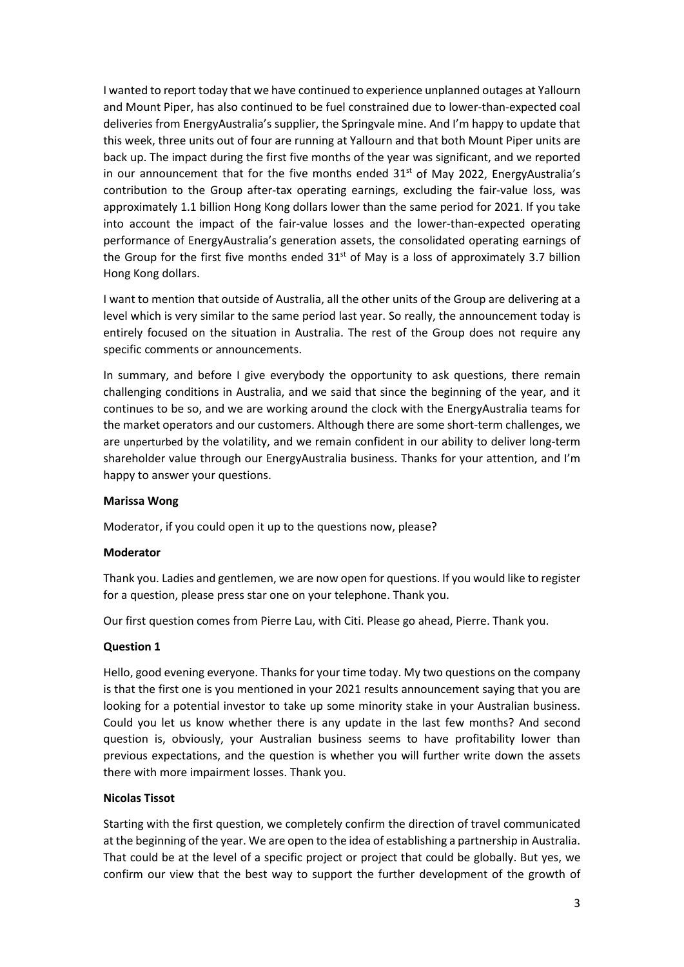I wanted to report today that we have continued to experience unplanned outages at Yallourn and Mount Piper, has also continued to be fuel constrained due to lower-than-expected coal deliveries from EnergyAustralia's supplier, the Springvale mine. And I'm happy to update that this week, three units out of four are running at Yallourn and that both Mount Piper units are back up. The impact during the first five months of the year was significant, and we reported in our announcement that for the five months ended  $31<sup>st</sup>$  of May 2022, EnergyAustralia's contribution to the Group after-tax operating earnings, excluding the fair-value loss, was approximately 1.1 billion Hong Kong dollars lower than the same period for 2021. If you take into account the impact of the fair-value losses and the lower-than-expected operating performance of EnergyAustralia's generation assets, the consolidated operating earnings of the Group for the first five months ended  $31^{st}$  of May is a loss of approximately 3.7 billion Hong Kong dollars.

I want to mention that outside of Australia, all the other units of the Group are delivering at a level which is very similar to the same period last year. So really, the announcement today is entirely focused on the situation in Australia. The rest of the Group does not require any specific comments or announcements.

In summary, and before I give everybody the opportunity to ask questions, there remain challenging conditions in Australia, and we said that since the beginning of the year, and it continues to be so, and we are working around the clock with the EnergyAustralia teams for the market operators and our customers. Although there are some short-term challenges, we are unperturbed by the volatility, and we remain confident in our ability to deliver long-term shareholder value through our EnergyAustralia business. Thanks for your attention, and I'm happy to answer your questions.

#### **Marissa Wong**

Moderator, if you could open it up to the questions now, please?

#### **Moderator**

Thank you. Ladies and gentlemen, we are now open for questions. If you would like to register for a question, please press star one on your telephone. Thank you.

Our first question comes from Pierre Lau, with Citi. Please go ahead, Pierre. Thank you.

#### **Question 1**

Hello, good evening everyone. Thanks for your time today. My two questions on the company is that the first one is you mentioned in your 2021 results announcement saying that you are looking for a potential investor to take up some minority stake in your Australian business. Could you let us know whether there is any update in the last few months? And second question is, obviously, your Australian business seems to have profitability lower than previous expectations, and the question is whether you will further write down the assets there with more impairment losses. Thank you.

#### **Nicolas Tissot**

Starting with the first question, we completely confirm the direction of travel communicated at the beginning of the year. We are open to the idea of establishing a partnership in Australia. That could be at the level of a specific project or project that could be globally. But yes, we confirm our view that the best way to support the further development of the growth of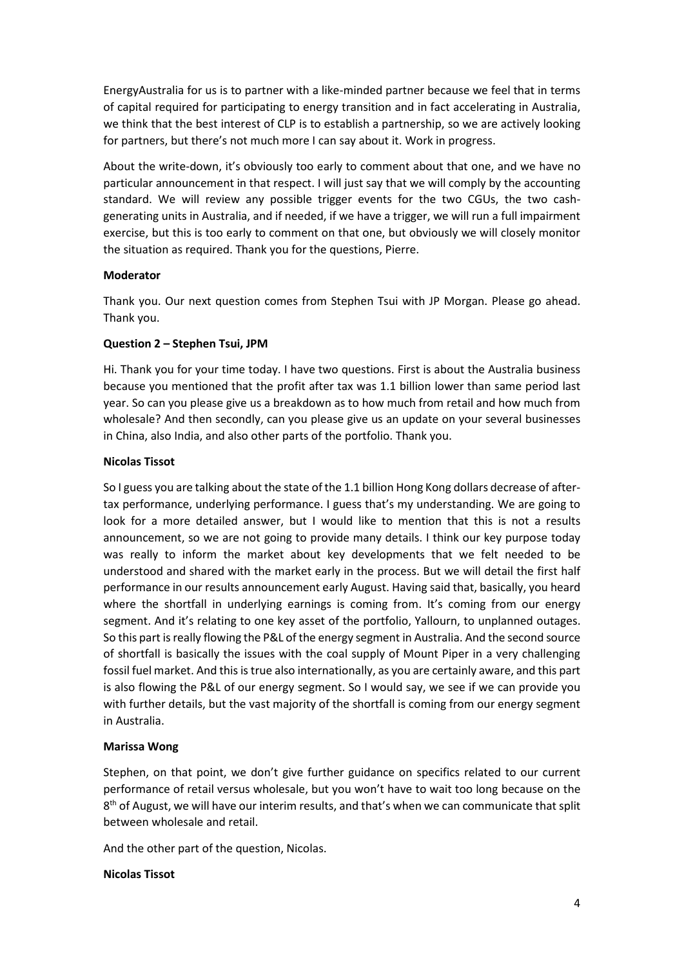EnergyAustralia for us is to partner with a like-minded partner because we feel that in terms of capital required for participating to energy transition and in fact accelerating in Australia, we think that the best interest of CLP is to establish a partnership, so we are actively looking for partners, but there's not much more I can say about it. Work in progress.

About the write-down, it's obviously too early to comment about that one, and we have no particular announcement in that respect. I will just say that we will comply by the accounting standard. We will review any possible trigger events for the two CGUs, the two cashgenerating units in Australia, and if needed, if we have a trigger, we will run a full impairment exercise, but this is too early to comment on that one, but obviously we will closely monitor the situation as required. Thank you for the questions, Pierre.

#### **Moderator**

Thank you. Our next question comes from Stephen Tsui with JP Morgan. Please go ahead. Thank you.

### **Question 2 – Stephen Tsui, JPM**

Hi. Thank you for your time today. I have two questions. First is about the Australia business because you mentioned that the profit after tax was 1.1 billion lower than same period last year. So can you please give us a breakdown as to how much from retail and how much from wholesale? And then secondly, can you please give us an update on your several businesses in China, also India, and also other parts of the portfolio. Thank you.

### **Nicolas Tissot**

So I guess you are talking about the state of the 1.1 billion Hong Kong dollars decrease of aftertax performance, underlying performance. I guess that's my understanding. We are going to look for a more detailed answer, but I would like to mention that this is not a results announcement, so we are not going to provide many details. I think our key purpose today was really to inform the market about key developments that we felt needed to be understood and shared with the market early in the process. But we will detail the first half performance in our results announcement early August. Having said that, basically, you heard where the shortfall in underlying earnings is coming from. It's coming from our energy segment. And it's relating to one key asset of the portfolio, Yallourn, to unplanned outages. So this part is really flowing the P&L of the energy segment in Australia. And the second source of shortfall is basically the issues with the coal supply of Mount Piper in a very challenging fossil fuel market. And this is true also internationally, as you are certainly aware, and this part is also flowing the P&L of our energy segment. So I would say, we see if we can provide you with further details, but the vast majority of the shortfall is coming from our energy segment in Australia.

#### **Marissa Wong**

Stephen, on that point, we don't give further guidance on specifics related to our current performance of retail versus wholesale, but you won't have to wait too long because on the  $8<sup>th</sup>$  of August, we will have our interim results, and that's when we can communicate that split between wholesale and retail.

And the other part of the question, Nicolas.

## **Nicolas Tissot**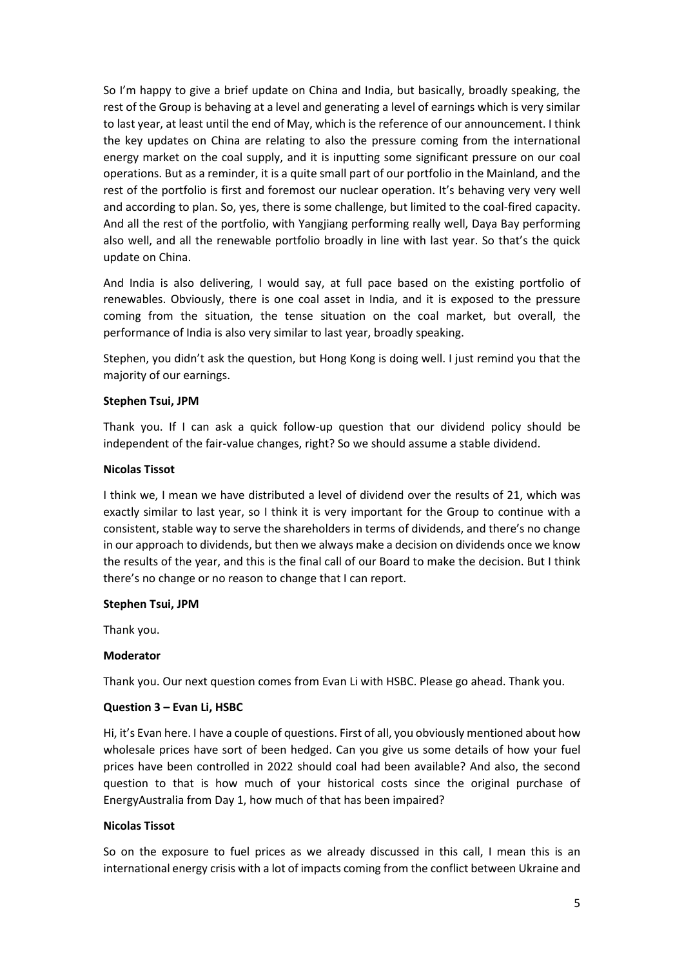So I'm happy to give a brief update on China and India, but basically, broadly speaking, the rest of the Group is behaving at a level and generating a level of earnings which is very similar to last year, at least until the end of May, which is the reference of our announcement. I think the key updates on China are relating to also the pressure coming from the international energy market on the coal supply, and it is inputting some significant pressure on our coal operations. But as a reminder, it is a quite small part of our portfolio in the Mainland, and the rest of the portfolio is first and foremost our nuclear operation. It's behaving very very well and according to plan. So, yes, there is some challenge, but limited to the coal-fired capacity. And all the rest of the portfolio, with Yangjiang performing really well, Daya Bay performing also well, and all the renewable portfolio broadly in line with last year. So that's the quick update on China.

And India is also delivering, I would say, at full pace based on the existing portfolio of renewables. Obviously, there is one coal asset in India, and it is exposed to the pressure coming from the situation, the tense situation on the coal market, but overall, the performance of India is also very similar to last year, broadly speaking.

Stephen, you didn't ask the question, but Hong Kong is doing well. I just remind you that the majority of our earnings.

#### **Stephen Tsui, JPM**

Thank you. If I can ask a quick follow-up question that our dividend policy should be independent of the fair-value changes, right? So we should assume a stable dividend.

#### **Nicolas Tissot**

I think we, I mean we have distributed a level of dividend over the results of 21, which was exactly similar to last year, so I think it is very important for the Group to continue with a consistent, stable way to serve the shareholders in terms of dividends, and there's no change in our approach to dividends, but then we always make a decision on dividends once we know the results of the year, and this is the final call of our Board to make the decision. But I think there's no change or no reason to change that I can report.

#### **Stephen Tsui, JPM**

Thank you.

#### **Moderator**

Thank you. Our next question comes from Evan Li with HSBC. Please go ahead. Thank you.

#### **Question 3 – Evan Li, HSBC**

Hi, it's Evan here. I have a couple of questions. First of all, you obviously mentioned about how wholesale prices have sort of been hedged. Can you give us some details of how your fuel prices have been controlled in 2022 should coal had been available? And also, the second question to that is how much of your historical costs since the original purchase of EnergyAustralia from Day 1, how much of that has been impaired?

#### **Nicolas Tissot**

So on the exposure to fuel prices as we already discussed in this call, I mean this is an international energy crisis with a lot of impacts coming from the conflict between Ukraine and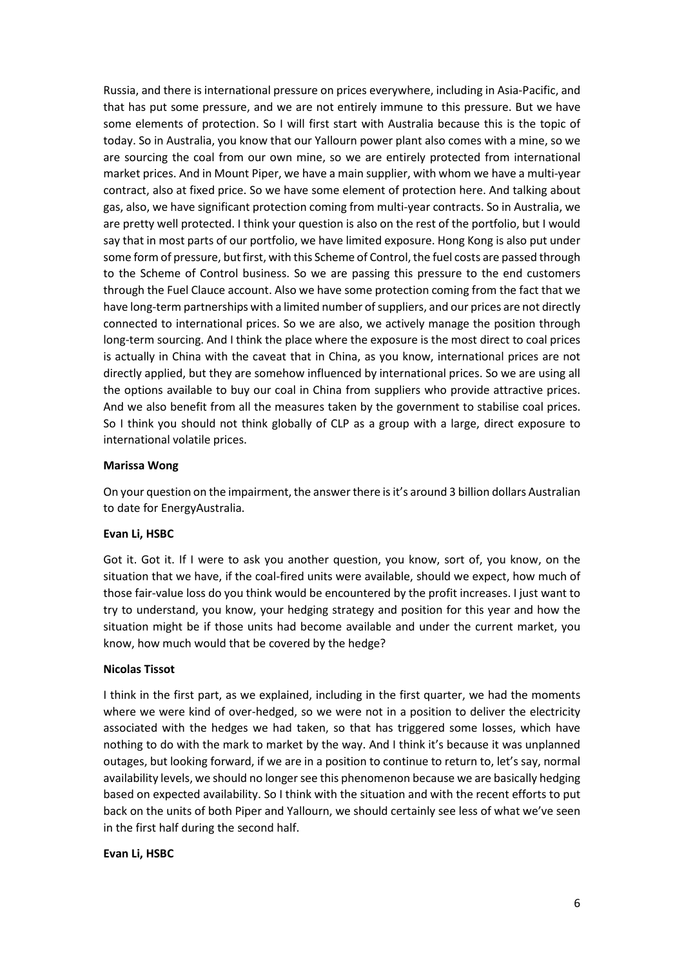Russia, and there is international pressure on prices everywhere, including in Asia-Pacific, and that has put some pressure, and we are not entirely immune to this pressure. But we have some elements of protection. So I will first start with Australia because this is the topic of today. So in Australia, you know that our Yallourn power plant also comes with a mine, so we are sourcing the coal from our own mine, so we are entirely protected from international market prices. And in Mount Piper, we have a main supplier, with whom we have a multi-year contract, also at fixed price. So we have some element of protection here. And talking about gas, also, we have significant protection coming from multi-year contracts. So in Australia, we are pretty well protected. I think your question is also on the rest of the portfolio, but I would say that in most parts of our portfolio, we have limited exposure. Hong Kong is also put under some form of pressure, but first, with this Scheme of Control, the fuel costs are passed through to the Scheme of Control business. So we are passing this pressure to the end customers through the Fuel Clauce account. Also we have some protection coming from the fact that we have long-term partnerships with a limited number of suppliers, and our prices are not directly connected to international prices. So we are also, we actively manage the position through long-term sourcing. And I think the place where the exposure is the most direct to coal prices is actually in China with the caveat that in China, as you know, international prices are not directly applied, but they are somehow influenced by international prices. So we are using all the options available to buy our coal in China from suppliers who provide attractive prices. And we also benefit from all the measures taken by the government to stabilise coal prices. So I think you should not think globally of CLP as a group with a large, direct exposure to international volatile prices.

#### **Marissa Wong**

On your question on the impairment, the answer there is it's around 3 billion dollars Australian to date for EnergyAustralia.

#### **Evan Li, HSBC**

Got it. Got it. If I were to ask you another question, you know, sort of, you know, on the situation that we have, if the coal-fired units were available, should we expect, how much of those fair-value loss do you think would be encountered by the profit increases. I just want to try to understand, you know, your hedging strategy and position for this year and how the situation might be if those units had become available and under the current market, you know, how much would that be covered by the hedge?

#### **Nicolas Tissot**

I think in the first part, as we explained, including in the first quarter, we had the moments where we were kind of over-hedged, so we were not in a position to deliver the electricity associated with the hedges we had taken, so that has triggered some losses, which have nothing to do with the mark to market by the way. And I think it's because it was unplanned outages, but looking forward, if we are in a position to continue to return to, let's say, normal availability levels, we should no longer see this phenomenon because we are basically hedging based on expected availability. So I think with the situation and with the recent efforts to put back on the units of both Piper and Yallourn, we should certainly see less of what we've seen in the first half during the second half.

#### **Evan Li, HSBC**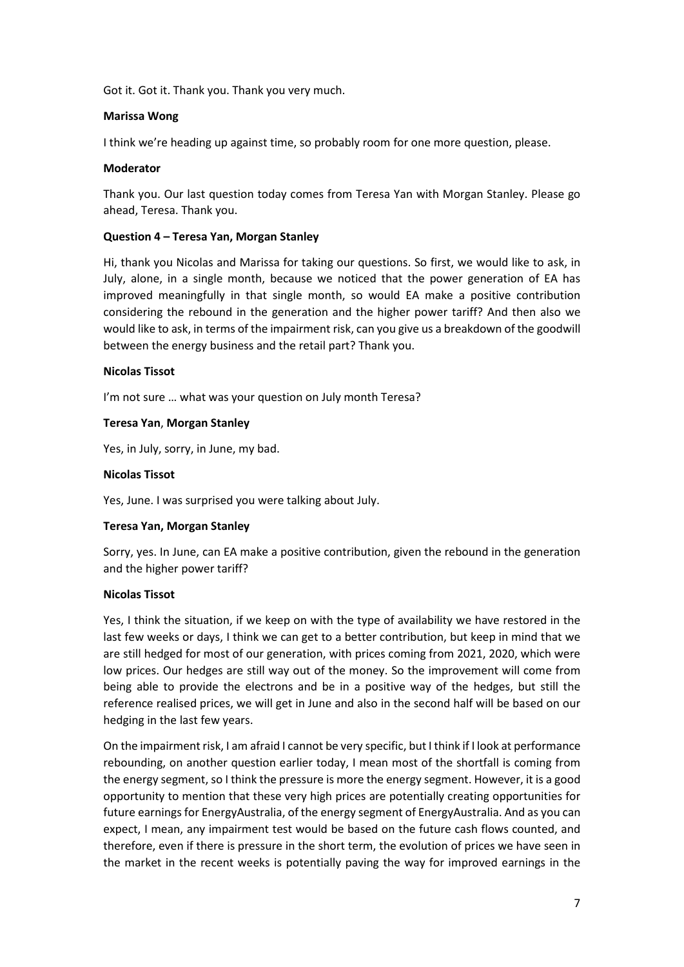Got it. Got it. Thank you. Thank you very much.

#### **Marissa Wong**

I think we're heading up against time, so probably room for one more question, please.

#### **Moderator**

Thank you. Our last question today comes from Teresa Yan with Morgan Stanley. Please go ahead, Teresa. Thank you.

#### **Question 4 – Teresa Yan, Morgan Stanley**

Hi, thank you Nicolas and Marissa for taking our questions. So first, we would like to ask, in July, alone, in a single month, because we noticed that the power generation of EA has improved meaningfully in that single month, so would EA make a positive contribution considering the rebound in the generation and the higher power tariff? And then also we would like to ask, in terms of the impairment risk, can you give us a breakdown of the goodwill between the energy business and the retail part? Thank you.

#### **Nicolas Tissot**

I'm not sure … what was your question on July month Teresa?

#### **Teresa Yan**, **Morgan Stanley**

Yes, in July, sorry, in June, my bad.

#### **Nicolas Tissot**

Yes, June. I was surprised you were talking about July.

#### **Teresa Yan, Morgan Stanley**

Sorry, yes. In June, can EA make a positive contribution, given the rebound in the generation and the higher power tariff?

#### **Nicolas Tissot**

Yes, I think the situation, if we keep on with the type of availability we have restored in the last few weeks or days, I think we can get to a better contribution, but keep in mind that we are still hedged for most of our generation, with prices coming from 2021, 2020, which were low prices. Our hedges are still way out of the money. So the improvement will come from being able to provide the electrons and be in a positive way of the hedges, but still the reference realised prices, we will get in June and also in the second half will be based on our hedging in the last few years.

On the impairment risk, I am afraid I cannot be very specific, but I think if I look at performance rebounding, on another question earlier today, I mean most of the shortfall is coming from the energy segment, so I think the pressure is more the energy segment. However, it is a good opportunity to mention that these very high prices are potentially creating opportunities for future earnings for EnergyAustralia, of the energy segment of EnergyAustralia. And as you can expect, I mean, any impairment test would be based on the future cash flows counted, and therefore, even if there is pressure in the short term, the evolution of prices we have seen in the market in the recent weeks is potentially paving the way for improved earnings in the